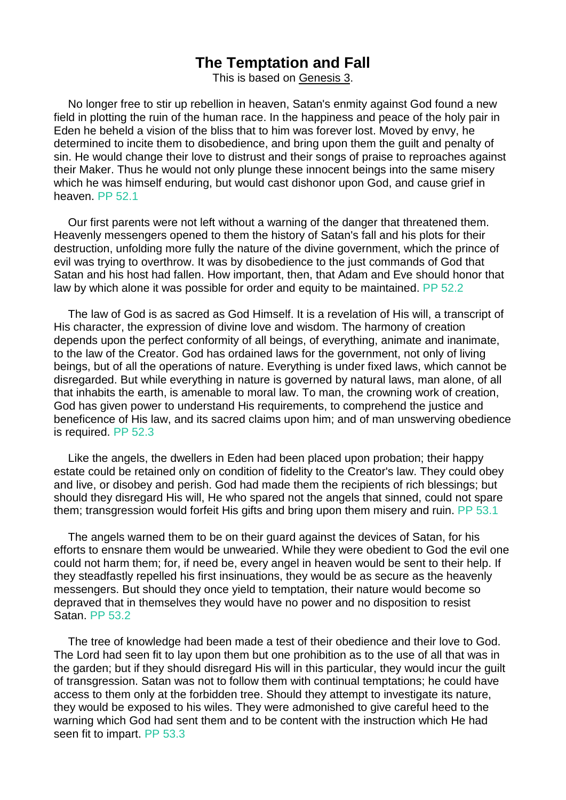## **The Temptation and Fall**

This is based on Genesis 3.

No longer free to stir up rebellion in heaven, Satan's enmity against God found a new field in plotting the ruin of the human race. In the happiness and peace of the holy pair in Eden he beheld a vision of the bliss that to him was forever lost. Moved by envy, he determined to incite them to disobedience, and bring upon them the guilt and penalty of sin. He would change their love to distrust and their songs of praise to reproaches against their Maker. Thus he would not only plunge these innocent beings into the same misery which he was himself enduring, but would cast dishonor upon God, and cause grief in heaven. PP 52.1

Our first parents were not left without a warning of the danger that threatened them. Heavenly messengers opened to them the history of Satan's fall and his plots for their destruction, unfolding more fully the nature of the divine government, which the prince of evil was trying to overthrow. It was by disobedience to the just commands of God that Satan and his host had fallen. How important, then, that Adam and Eve should honor that law by which alone it was possible for order and equity to be maintained. PP 52.2

The law of God is as sacred as God Himself. It is a revelation of His will, a transcript of His character, the expression of divine love and wisdom. The harmony of creation depends upon the perfect conformity of all beings, of everything, animate and inanimate, to the law of the Creator. God has ordained laws for the government, not only of living beings, but of all the operations of nature. Everything is under fixed laws, which cannot be disregarded. But while everything in nature is governed by natural laws, man alone, of all that inhabits the earth, is amenable to moral law. To man, the crowning work of creation, God has given power to understand His requirements, to comprehend the justice and beneficence of His law, and its sacred claims upon him; and of man unswerving obedience is required. PP 52.3

Like the angels, the dwellers in Eden had been placed upon probation; their happy estate could be retained only on condition of fidelity to the Creator's law. They could obey and live, or disobey and perish. God had made them the recipients of rich blessings; but should they disregard His will, He who spared not the angels that sinned, could not spare them; transgression would forfeit His gifts and bring upon them misery and ruin. PP 53.1

The angels warned them to be on their guard against the devices of Satan, for his efforts to ensnare them would be unwearied. While they were obedient to God the evil one could not harm them; for, if need be, every angel in heaven would be sent to their help. If they steadfastly repelled his first insinuations, they would be as secure as the heavenly messengers. But should they once yield to temptation, their nature would become so depraved that in themselves they would have no power and no disposition to resist Satan. PP 53.2

The tree of knowledge had been made a test of their obedience and their love to God. The Lord had seen fit to lay upon them but one prohibition as to the use of all that was in the garden; but if they should disregard His will in this particular, they would incur the guilt of transgression. Satan was not to follow them with continual temptations; he could have access to them only at the forbidden tree. Should they attempt to investigate its nature, they would be exposed to his wiles. They were admonished to give careful heed to the warning which God had sent them and to be content with the instruction which He had seen fit to impart. PP 53.3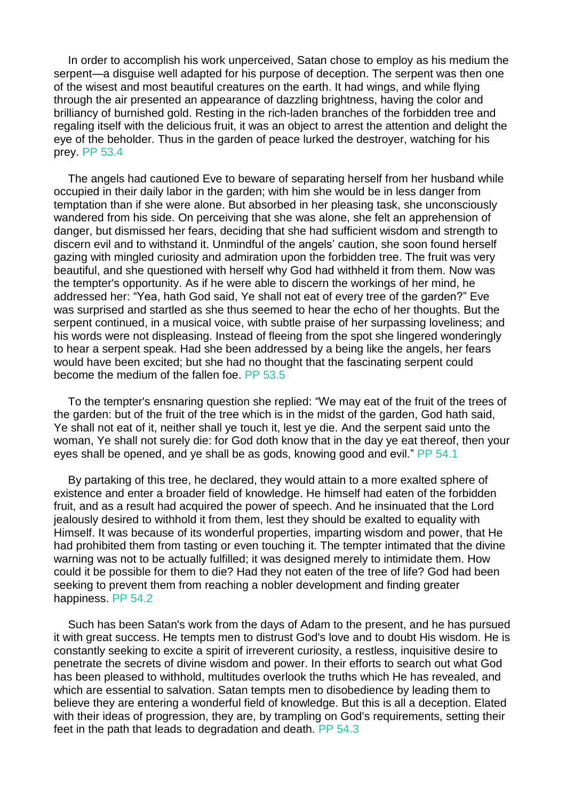In order to accomplish his work unperceived, Satan chose to employ as his medium the serpent—a disguise well adapted for his purpose of deception. The serpent was then one of the wisest and most beautiful creatures on the earth. It had wings, and while flying through the air presented an appearance of dazzling brightness, having the color and brilliancy of burnished gold. Resting in the rich-laden branches of the forbidden tree and regaling itself with the delicious fruit, it was an object to arrest the attention and delight the eye of the beholder. Thus in the garden of peace lurked the destroyer, watching for his prey. PP 53.4

The angels had cautioned Eve to beware of separating herself from her husband while occupied in their daily labor in the garden; with him she would be in less danger from temptation than if she were alone. But absorbed in her pleasing task, she unconsciously wandered from his side. On perceiving that she was alone, she felt an apprehension of danger, but dismissed her fears, deciding that she had sufficient wisdom and strength to discern evil and to withstand it. Unmindful of the angels' caution, she soon found herself gazing with mingled curiosity and admiration upon the forbidden tree. The fruit was very beautiful, and she questioned with herself why God had withheld it from them. Now was the tempter's opportunity. As if he were able to discern the workings of her mind, he addressed her: "Yea, hath God said, Ye shall not eat of every tree of the garden?" Eve was surprised and startled as she thus seemed to hear the echo of her thoughts. But the serpent continued, in a musical voice, with subtle praise of her surpassing loveliness; and his words were not displeasing. Instead of fleeing from the spot she lingered wonderingly to hear a serpent speak. Had she been addressed by a being like the angels, her fears would have been excited; but she had no thought that the fascinating serpent could become the medium of the fallen foe. PP 53.5

To the tempter's ensnaring question she replied: "We may eat of the fruit of the trees of the garden: but of the fruit of the tree which is in the midst of the garden, God hath said, Ye shall not eat of it, neither shall ye touch it, lest ye die. And the serpent said unto the woman, Ye shall not surely die: for God doth know that in the day ye eat thereof, then your eyes shall be opened, and ye shall be as gods, knowing good and evil." PP 54.1

By partaking of this tree, he declared, they would attain to a more exalted sphere of existence and enter a broader field of knowledge. He himself had eaten of the forbidden fruit, and as a result had acquired the power of speech. And he insinuated that the Lord jealously desired to withhold it from them, lest they should be exalted to equality with Himself. It was because of its wonderful properties, imparting wisdom and power, that He had prohibited them from tasting or even touching it. The tempter intimated that the divine warning was not to be actually fulfilled; it was designed merely to intimidate them. How could it be possible for them to die? Had they not eaten of the tree of life? God had been seeking to prevent them from reaching a nobler development and finding greater happiness. PP 54.2

Such has been Satan's work from the days of Adam to the present, and he has pursued it with great success. He tempts men to distrust God's love and to doubt His wisdom. He is constantly seeking to excite a spirit of irreverent curiosity, a restless, inquisitive desire to penetrate the secrets of divine wisdom and power. In their efforts to search out what God has been pleased to withhold, multitudes overlook the truths which He has revealed, and which are essential to salvation. Satan tempts men to disobedience by leading them to believe they are entering a wonderful field of knowledge. But this is all a deception. Elated with their ideas of progression, they are, by trampling on God's requirements, setting their feet in the path that leads to degradation and death. PP 54.3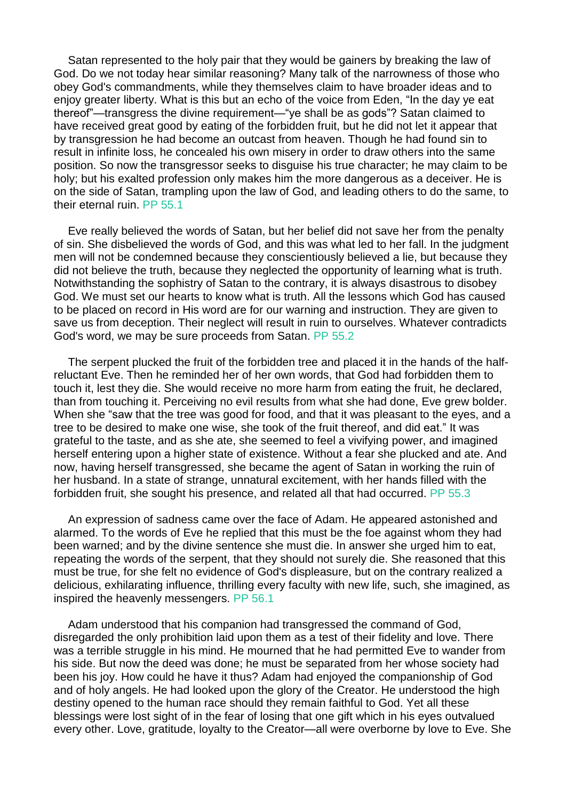Satan represented to the holy pair that they would be gainers by breaking the law of God. Do we not today hear similar reasoning? Many talk of the narrowness of those who obey God's commandments, while they themselves claim to have broader ideas and to enjoy greater liberty. What is this but an echo of the voice from Eden, "In the day ye eat thereof"—transgress the divine requirement—"ye shall be as gods"? Satan claimed to have received great good by eating of the forbidden fruit, but he did not let it appear that by transgression he had become an outcast from heaven. Though he had found sin to result in infinite loss, he concealed his own misery in order to draw others into the same position. So now the transgressor seeks to disguise his true character; he may claim to be holy; but his exalted profession only makes him the more dangerous as a deceiver. He is on the side of Satan, trampling upon the law of God, and leading others to do the same, to their eternal ruin. PP 55.1

Eve really believed the words of Satan, but her belief did not save her from the penalty of sin. She disbelieved the words of God, and this was what led to her fall. In the judgment men will not be condemned because they conscientiously believed a lie, but because they did not believe the truth, because they neglected the opportunity of learning what is truth. Notwithstanding the sophistry of Satan to the contrary, it is always disastrous to disobey God. We must set our hearts to know what is truth. All the lessons which God has caused to be placed on record in His word are for our warning and instruction. They are given to save us from deception. Their neglect will result in ruin to ourselves. Whatever contradicts God's word, we may be sure proceeds from Satan. PP 55.2

The serpent plucked the fruit of the forbidden tree and placed it in the hands of the halfreluctant Eve. Then he reminded her of her own words, that God had forbidden them to touch it, lest they die. She would receive no more harm from eating the fruit, he declared, than from touching it. Perceiving no evil results from what she had done, Eve grew bolder. When she "saw that the tree was good for food, and that it was pleasant to the eyes, and a tree to be desired to make one wise, she took of the fruit thereof, and did eat." It was grateful to the taste, and as she ate, she seemed to feel a vivifying power, and imagined herself entering upon a higher state of existence. Without a fear she plucked and ate. And now, having herself transgressed, she became the agent of Satan in working the ruin of her husband. In a state of strange, unnatural excitement, with her hands filled with the forbidden fruit, she sought his presence, and related all that had occurred. PP 55.3

An expression of sadness came over the face of Adam. He appeared astonished and alarmed. To the words of Eve he replied that this must be the foe against whom they had been warned; and by the divine sentence she must die. In answer she urged him to eat, repeating the words of the serpent, that they should not surely die. She reasoned that this must be true, for she felt no evidence of God's displeasure, but on the contrary realized a delicious, exhilarating influence, thrilling every faculty with new life, such, she imagined, as inspired the heavenly messengers. PP 56.1

Adam understood that his companion had transgressed the command of God, disregarded the only prohibition laid upon them as a test of their fidelity and love. There was a terrible struggle in his mind. He mourned that he had permitted Eve to wander from his side. But now the deed was done; he must be separated from her whose society had been his joy. How could he have it thus? Adam had enjoyed the companionship of God and of holy angels. He had looked upon the glory of the Creator. He understood the high destiny opened to the human race should they remain faithful to God. Yet all these blessings were lost sight of in the fear of losing that one gift which in his eyes outvalued every other. Love, gratitude, loyalty to the Creator—all were overborne by love to Eve. She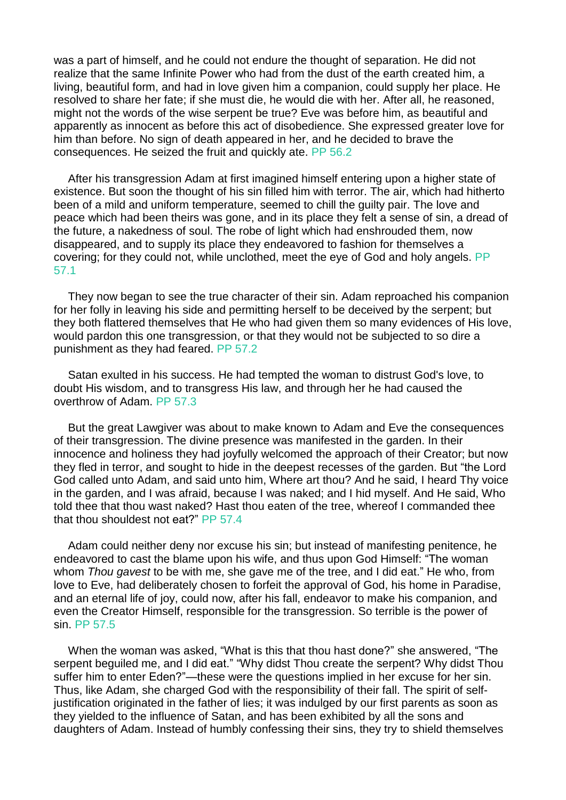was a part of himself, and he could not endure the thought of separation. He did not realize that the same Infinite Power who had from the dust of the earth created him, a living, beautiful form, and had in love given him a companion, could supply her place. He resolved to share her fate; if she must die, he would die with her. After all, he reasoned, might not the words of the wise serpent be true? Eve was before him, as beautiful and apparently as innocent as before this act of disobedience. She expressed greater love for him than before. No sign of death appeared in her, and he decided to brave the consequences. He seized the fruit and quickly ate. PP 56.2

After his transgression Adam at first imagined himself entering upon a higher state of existence. But soon the thought of his sin filled him with terror. The air, which had hitherto been of a mild and uniform temperature, seemed to chill the guilty pair. The love and peace which had been theirs was gone, and in its place they felt a sense of sin, a dread of the future, a nakedness of soul. The robe of light which had enshrouded them, now disappeared, and to supply its place they endeavored to fashion for themselves a covering; for they could not, while unclothed, meet the eye of God and holy angels. PP 57.1

They now began to see the true character of their sin. Adam reproached his companion for her folly in leaving his side and permitting herself to be deceived by the serpent; but they both flattered themselves that He who had given them so many evidences of His love, would pardon this one transgression, or that they would not be subjected to so dire a punishment as they had feared. PP 57.2

Satan exulted in his success. He had tempted the woman to distrust God's love, to doubt His wisdom, and to transgress His law, and through her he had caused the overthrow of Adam. PP 57.3

But the great Lawgiver was about to make known to Adam and Eve the consequences of their transgression. The divine presence was manifested in the garden. In their innocence and holiness they had joyfully welcomed the approach of their Creator; but now they fled in terror, and sought to hide in the deepest recesses of the garden. But "the Lord God called unto Adam, and said unto him, Where art thou? And he said, I heard Thy voice in the garden, and I was afraid, because I was naked; and I hid myself. And He said, Who told thee that thou wast naked? Hast thou eaten of the tree, whereof I commanded thee that thou shouldest not eat?" PP 57.4

Adam could neither deny nor excuse his sin; but instead of manifesting penitence, he endeavored to cast the blame upon his wife, and thus upon God Himself: "The woman whom *Thou gavest* to be with me, she gave me of the tree, and I did eat." He who, from love to Eve, had deliberately chosen to forfeit the approval of God, his home in Paradise, and an eternal life of joy, could now, after his fall, endeavor to make his companion, and even the Creator Himself, responsible for the transgression. So terrible is the power of sin. PP 57.5

When the woman was asked, "What is this that thou hast done?" she answered, "The serpent beguiled me, and I did eat." "Why didst Thou create the serpent? Why didst Thou suffer him to enter Eden?"—these were the questions implied in her excuse for her sin. Thus, like Adam, she charged God with the responsibility of their fall. The spirit of selfjustification originated in the father of lies; it was indulged by our first parents as soon as they yielded to the influence of Satan, and has been exhibited by all the sons and daughters of Adam. Instead of humbly confessing their sins, they try to shield themselves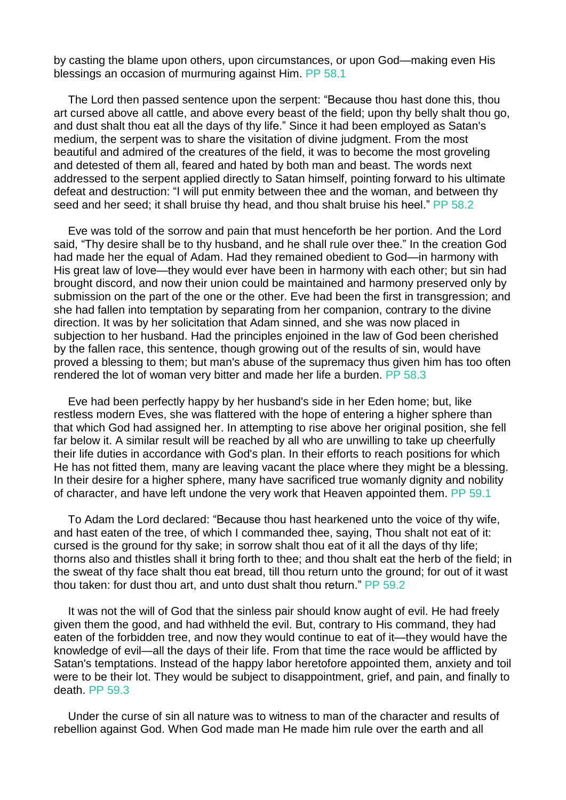by casting the blame upon others, upon circumstances, or upon God—making even His blessings an occasion of murmuring against Him. PP 58.1

The Lord then passed sentence upon the serpent: "Because thou hast done this, thou art cursed above all cattle, and above every beast of the field; upon thy belly shalt thou go, and dust shalt thou eat all the days of thy life." Since it had been employed as Satan's medium, the serpent was to share the visitation of divine judgment. From the most beautiful and admired of the creatures of the field, it was to become the most groveling and detested of them all, feared and hated by both man and beast. The words next addressed to the serpent applied directly to Satan himself, pointing forward to his ultimate defeat and destruction: "I will put enmity between thee and the woman, and between thy seed and her seed; it shall bruise thy head, and thou shalt bruise his heel." PP 58.2

Eve was told of the sorrow and pain that must henceforth be her portion. And the Lord said, "Thy desire shall be to thy husband, and he shall rule over thee." In the creation God had made her the equal of Adam. Had they remained obedient to God—in harmony with His great law of love—they would ever have been in harmony with each other; but sin had brought discord, and now their union could be maintained and harmony preserved only by submission on the part of the one or the other. Eve had been the first in transgression; and she had fallen into temptation by separating from her companion, contrary to the divine direction. It was by her solicitation that Adam sinned, and she was now placed in subjection to her husband. Had the principles enjoined in the law of God been cherished by the fallen race, this sentence, though growing out of the results of sin, would have proved a blessing to them; but man's abuse of the supremacy thus given him has too often rendered the lot of woman very bitter and made her life a burden. PP 58.3

Eve had been perfectly happy by her husband's side in her Eden home; but, like restless modern Eves, she was flattered with the hope of entering a higher sphere than that which God had assigned her. In attempting to rise above her original position, she fell far below it. A similar result will be reached by all who are unwilling to take up cheerfully their life duties in accordance with God's plan. In their efforts to reach positions for which He has not fitted them, many are leaving vacant the place where they might be a blessing. In their desire for a higher sphere, many have sacrificed true womanly dignity and nobility of character, and have left undone the very work that Heaven appointed them. PP 59.1

To Adam the Lord declared: "Because thou hast hearkened unto the voice of thy wife, and hast eaten of the tree, of which I commanded thee, saying, Thou shalt not eat of it: cursed is the ground for thy sake; in sorrow shalt thou eat of it all the days of thy life; thorns also and thistles shall it bring forth to thee; and thou shalt eat the herb of the field; in the sweat of thy face shalt thou eat bread, till thou return unto the ground; for out of it wast thou taken: for dust thou art, and unto dust shalt thou return." PP 59.2

It was not the will of God that the sinless pair should know aught of evil. He had freely given them the good, and had withheld the evil. But, contrary to His command, they had eaten of the forbidden tree, and now they would continue to eat of it—they would have the knowledge of evil—all the days of their life. From that time the race would be afflicted by Satan's temptations. Instead of the happy labor heretofore appointed them, anxiety and toil were to be their lot. They would be subject to disappointment, grief, and pain, and finally to death. PP 59.3

Under the curse of sin all nature was to witness to man of the character and results of rebellion against God. When God made man He made him rule over the earth and all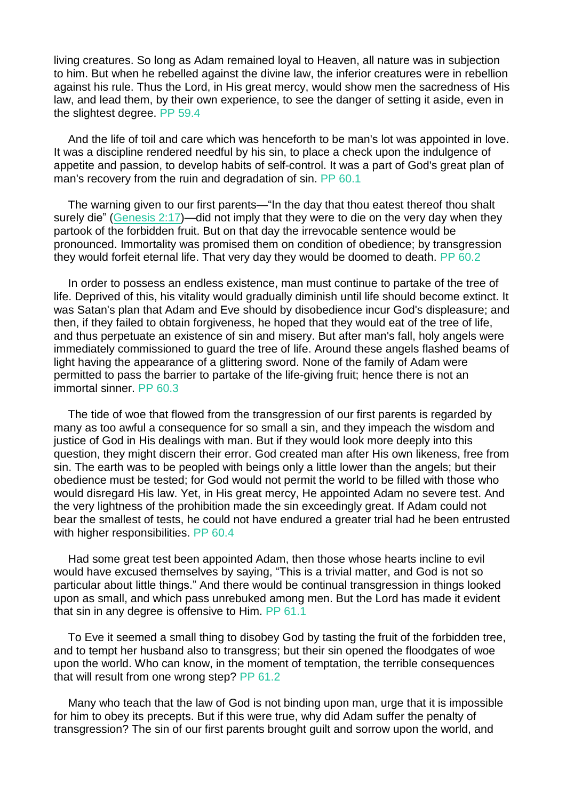living creatures. So long as Adam remained loyal to Heaven, all nature was in subjection to him. But when he rebelled against the divine law, the inferior creatures were in rebellion against his rule. Thus the Lord, in His great mercy, would show men the sacredness of His law, and lead them, by their own experience, to see the danger of setting it aside, even in the slightest degree. PP 59.4

And the life of toil and care which was henceforth to be man's lot was appointed in love. It was a discipline rendered needful by his sin, to place a check upon the indulgence of appetite and passion, to develop habits of self-control. It was a part of God's great plan of man's recovery from the ruin and degradation of sin. PP 60.1

The warning given to our first parents—"In the day that thou eatest thereof thou shalt surely die" [\(Genesis](https://m.egwwritings.org/en/book/1965.100#100) 2:17)—did not imply that they were to die on the very day when they partook of the forbidden fruit. But on that day the irrevocable sentence would be pronounced. Immortality was promised them on condition of obedience; by transgression they would forfeit eternal life. That very day they would be doomed to death. PP 60.2

In order to possess an endless existence, man must continue to partake of the tree of life. Deprived of this, his vitality would gradually diminish until life should become extinct. It was Satan's plan that Adam and Eve should by disobedience incur God's displeasure; and then, if they failed to obtain forgiveness, he hoped that they would eat of the tree of life, and thus perpetuate an existence of sin and misery. But after man's fall, holy angels were immediately commissioned to guard the tree of life. Around these angels flashed beams of light having the appearance of a glittering sword. None of the family of Adam were permitted to pass the barrier to partake of the life-giving fruit; hence there is not an immortal sinner. PP 60.3

The tide of woe that flowed from the transgression of our first parents is regarded by many as too awful a consequence for so small a sin, and they impeach the wisdom and justice of God in His dealings with man. But if they would look more deeply into this question, they might discern their error. God created man after His own likeness, free from sin. The earth was to be peopled with beings only a little lower than the angels; but their obedience must be tested; for God would not permit the world to be filled with those who would disregard His law. Yet, in His great mercy, He appointed Adam no severe test. And the very lightness of the prohibition made the sin exceedingly great. If Adam could not bear the smallest of tests, he could not have endured a greater trial had he been entrusted with higher responsibilities. PP 60.4

Had some great test been appointed Adam, then those whose hearts incline to evil would have excused themselves by saying, "This is a trivial matter, and God is not so particular about little things." And there would be continual transgression in things looked upon as small, and which pass unrebuked among men. But the Lord has made it evident that sin in any degree is offensive to Him. PP 61.1

To Eve it seemed a small thing to disobey God by tasting the fruit of the forbidden tree, and to tempt her husband also to transgress; but their sin opened the floodgates of woe upon the world. Who can know, in the moment of temptation, the terrible consequences that will result from one wrong step? PP 61.2

Many who teach that the law of God is not binding upon man, urge that it is impossible for him to obey its precepts. But if this were true, why did Adam suffer the penalty of transgression? The sin of our first parents brought guilt and sorrow upon the world, and